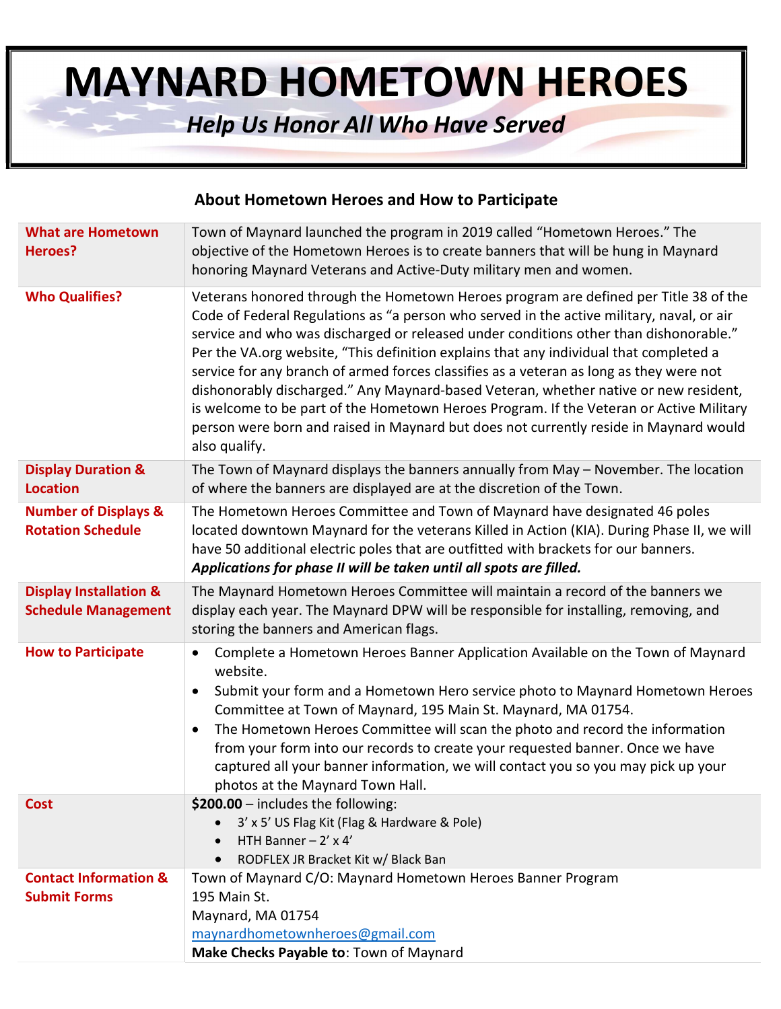# MAYNARD HOMETOWN HEROES

## Help Us Honor All Who Have Served

#### About Hometown Heroes and How to Participate

| <b>What are Hometown</b><br>Heroes?                             | Town of Maynard launched the program in 2019 called "Hometown Heroes." The<br>objective of the Hometown Heroes is to create banners that will be hung in Maynard<br>honoring Maynard Veterans and Active-Duty military men and women.                                                                                                                                                                                                                                                                                                                                                                                                                                                                                                                        |
|-----------------------------------------------------------------|--------------------------------------------------------------------------------------------------------------------------------------------------------------------------------------------------------------------------------------------------------------------------------------------------------------------------------------------------------------------------------------------------------------------------------------------------------------------------------------------------------------------------------------------------------------------------------------------------------------------------------------------------------------------------------------------------------------------------------------------------------------|
| <b>Who Qualifies?</b>                                           | Veterans honored through the Hometown Heroes program are defined per Title 38 of the<br>Code of Federal Regulations as "a person who served in the active military, naval, or air<br>service and who was discharged or released under conditions other than dishonorable."<br>Per the VA.org website, "This definition explains that any individual that completed a<br>service for any branch of armed forces classifies as a veteran as long as they were not<br>dishonorably discharged." Any Maynard-based Veteran, whether native or new resident,<br>is welcome to be part of the Hometown Heroes Program. If the Veteran or Active Military<br>person were born and raised in Maynard but does not currently reside in Maynard would<br>also qualify. |
| <b>Display Duration &amp;</b><br><b>Location</b>                | The Town of Maynard displays the banners annually from May - November. The location<br>of where the banners are displayed are at the discretion of the Town.                                                                                                                                                                                                                                                                                                                                                                                                                                                                                                                                                                                                 |
| <b>Number of Displays &amp;</b><br><b>Rotation Schedule</b>     | The Hometown Heroes Committee and Town of Maynard have designated 46 poles<br>located downtown Maynard for the veterans Killed in Action (KIA). During Phase II, we will<br>have 50 additional electric poles that are outfitted with brackets for our banners.<br>Applications for phase II will be taken until all spots are filled.                                                                                                                                                                                                                                                                                                                                                                                                                       |
| <b>Display Installation &amp;</b><br><b>Schedule Management</b> | The Maynard Hometown Heroes Committee will maintain a record of the banners we<br>display each year. The Maynard DPW will be responsible for installing, removing, and<br>storing the banners and American flags.                                                                                                                                                                                                                                                                                                                                                                                                                                                                                                                                            |
| <b>How to Participate</b>                                       | Complete a Hometown Heroes Banner Application Available on the Town of Maynard<br>$\bullet$<br>website.<br>Submit your form and a Hometown Hero service photo to Maynard Hometown Heroes<br>$\bullet$<br>Committee at Town of Maynard, 195 Main St. Maynard, MA 01754.<br>The Hometown Heroes Committee will scan the photo and record the information<br>$\bullet$<br>from your form into our records to create your requested banner. Once we have<br>captured all your banner information, we will contact you so you may pick up your<br>photos at the Maynard Town Hall.                                                                                                                                                                                |
| <b>Cost</b>                                                     | \$200.00 - includes the following:<br>3' x 5' US Flag Kit (Flag & Hardware & Pole)<br>HTH Banner $-2' \times 4'$<br>RODFLEX JR Bracket Kit w/ Black Ban<br>$\bullet$                                                                                                                                                                                                                                                                                                                                                                                                                                                                                                                                                                                         |
| <b>Contact Information &amp;</b><br><b>Submit Forms</b>         | Town of Maynard C/O: Maynard Hometown Heroes Banner Program<br>195 Main St.<br>Maynard, MA 01754<br>maynardhometownheroes@gmail.com<br>Make Checks Payable to: Town of Maynard                                                                                                                                                                                                                                                                                                                                                                                                                                                                                                                                                                               |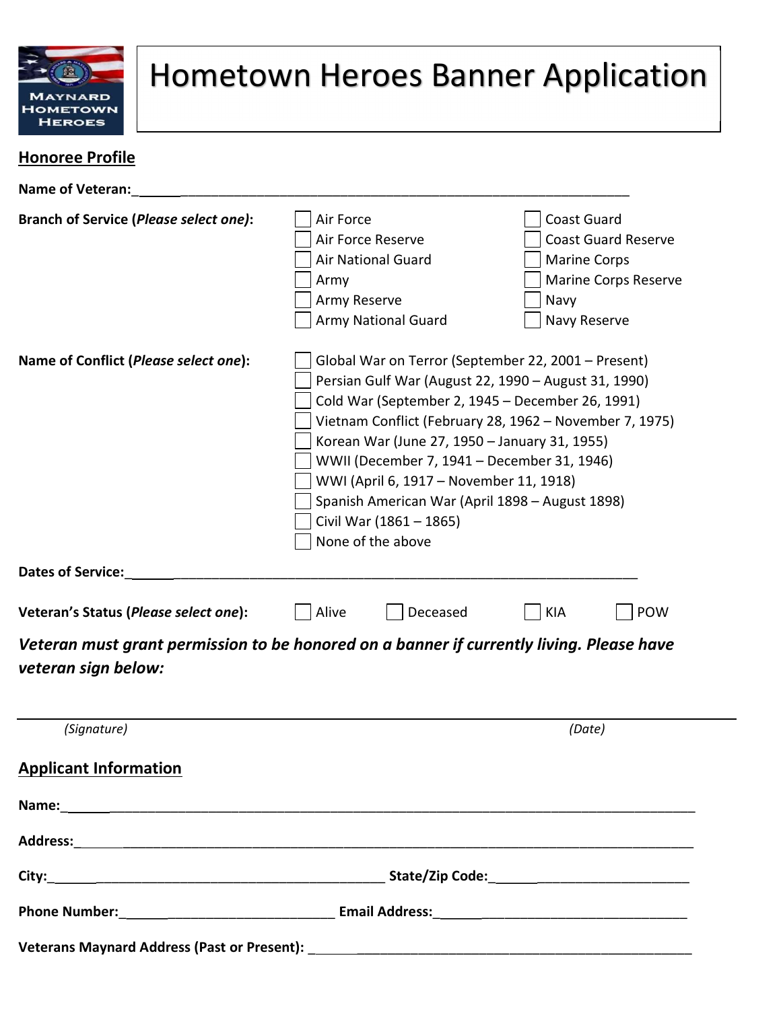

## Hometown Heroes Banner Application

### Honoree Profile

| <b>Name of Veteran:</b>                                                                                         |                                                                                                                                                                                                                                                                                                                                                                                                                                                                          |                                                         |                                                                   |                                                           |  |
|-----------------------------------------------------------------------------------------------------------------|--------------------------------------------------------------------------------------------------------------------------------------------------------------------------------------------------------------------------------------------------------------------------------------------------------------------------------------------------------------------------------------------------------------------------------------------------------------------------|---------------------------------------------------------|-------------------------------------------------------------------|-----------------------------------------------------------|--|
| <b>Branch of Service (Please select one):</b>                                                                   | Air Force<br>Air Force Reserve<br>Army<br>Army Reserve                                                                                                                                                                                                                                                                                                                                                                                                                   | <b>Air National Guard</b><br><b>Army National Guard</b> | <b>Coast Guard</b><br><b>Marine Corps</b><br>Navy<br>Navy Reserve | <b>Coast Guard Reserve</b><br><b>Marine Corps Reserve</b> |  |
| Name of Conflict (Please select one):                                                                           | Global War on Terror (September 22, 2001 - Present)<br>Persian Gulf War (August 22, 1990 - August 31, 1990)<br>Cold War (September 2, 1945 – December 26, 1991)<br>Vietnam Conflict (February 28, 1962 - November 7, 1975)<br>Korean War (June 27, 1950 - January 31, 1955)<br>WWII (December 7, 1941 - December 31, 1946)<br>WWI (April 6, 1917 - November 11, 1918)<br>Spanish American War (April 1898 - August 1898)<br>Civil War (1861 - 1865)<br>None of the above |                                                         |                                                                   |                                                           |  |
| <b>Dates of Service:</b>                                                                                        |                                                                                                                                                                                                                                                                                                                                                                                                                                                                          |                                                         |                                                                   |                                                           |  |
| Veteran's Status (Please select one):                                                                           | Alive                                                                                                                                                                                                                                                                                                                                                                                                                                                                    | Deceased                                                | <b>KIA</b>                                                        | <b>POW</b>                                                |  |
| Veteran must grant permission to be honored on a banner if currently living. Please have<br>veteran sign below: |                                                                                                                                                                                                                                                                                                                                                                                                                                                                          |                                                         |                                                                   |                                                           |  |
| (Signature)                                                                                                     |                                                                                                                                                                                                                                                                                                                                                                                                                                                                          |                                                         | (Date)                                                            |                                                           |  |
| <b>Applicant Information</b>                                                                                    |                                                                                                                                                                                                                                                                                                                                                                                                                                                                          |                                                         |                                                                   |                                                           |  |
|                                                                                                                 |                                                                                                                                                                                                                                                                                                                                                                                                                                                                          |                                                         |                                                                   |                                                           |  |
|                                                                                                                 |                                                                                                                                                                                                                                                                                                                                                                                                                                                                          |                                                         |                                                                   |                                                           |  |
|                                                                                                                 |                                                                                                                                                                                                                                                                                                                                                                                                                                                                          |                                                         |                                                                   |                                                           |  |
|                                                                                                                 |                                                                                                                                                                                                                                                                                                                                                                                                                                                                          |                                                         |                                                                   |                                                           |  |